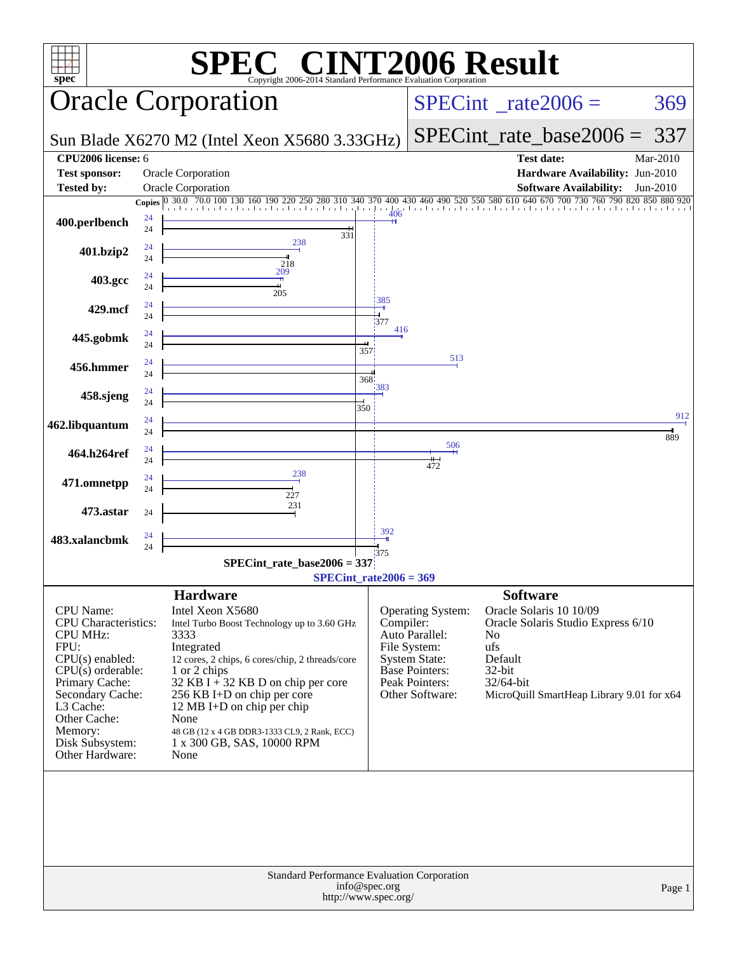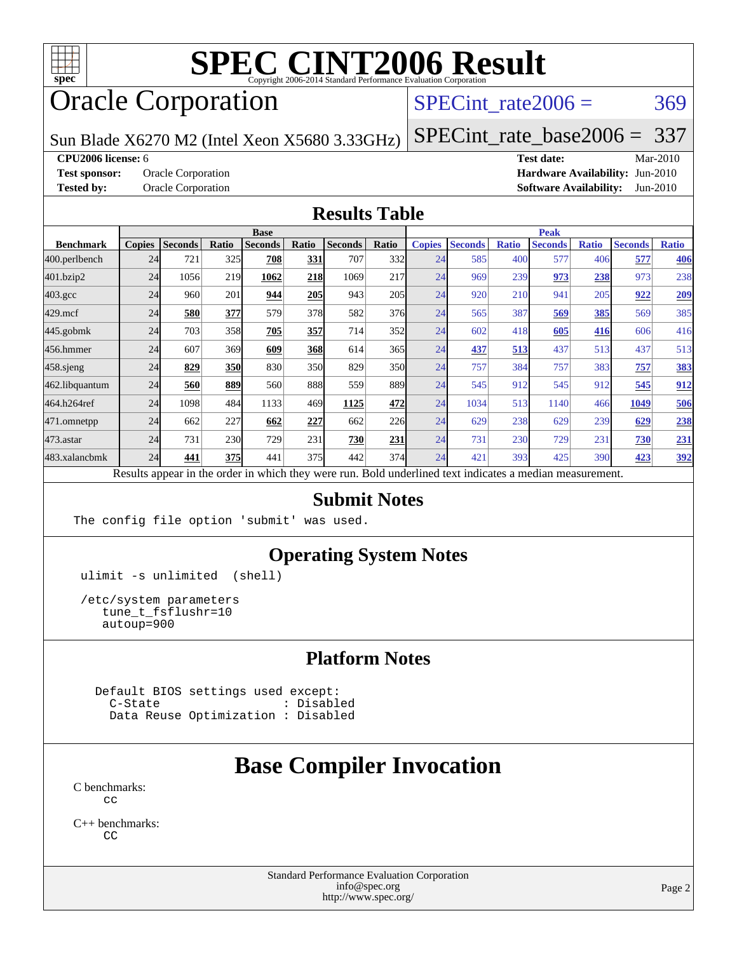

# **[SPEC CINT2006 Result](http://www.spec.org/auto/cpu2006/Docs/result-fields.html#SPECCINT2006Result)**

# Oracle Corporation

SPECint rate $2006 = 369$ 

Sun Blade X6270 M2 (Intel Xeon X5680 3.33GHz)

[SPECint\\_rate\\_base2006 =](http://www.spec.org/auto/cpu2006/Docs/result-fields.html#SPECintratebase2006) 337

**[CPU2006 license:](http://www.spec.org/auto/cpu2006/Docs/result-fields.html#CPU2006license)** 6 **[Test date:](http://www.spec.org/auto/cpu2006/Docs/result-fields.html#Testdate)** Mar-2010

**[Test sponsor:](http://www.spec.org/auto/cpu2006/Docs/result-fields.html#Testsponsor)** Oracle Corporation **[Hardware Availability:](http://www.spec.org/auto/cpu2006/Docs/result-fields.html#HardwareAvailability)** Jun-2010 **[Tested by:](http://www.spec.org/auto/cpu2006/Docs/result-fields.html#Testedby)** Oracle Corporation **[Software Availability:](http://www.spec.org/auto/cpu2006/Docs/result-fields.html#SoftwareAvailability)** Jun-2010

#### **[Results Table](http://www.spec.org/auto/cpu2006/Docs/result-fields.html#ResultsTable)**

|                    | <b>Base</b>   |                |            |                                                                                                          |       |                |       | <b>Peak</b>   |                |              |                |              |                |              |
|--------------------|---------------|----------------|------------|----------------------------------------------------------------------------------------------------------|-------|----------------|-------|---------------|----------------|--------------|----------------|--------------|----------------|--------------|
| <b>Benchmark</b>   | <b>Copies</b> | <b>Seconds</b> | Ratio      | <b>Seconds</b>                                                                                           | Ratio | <b>Seconds</b> | Ratio | <b>Copies</b> | <b>Seconds</b> | <b>Ratio</b> | <b>Seconds</b> | <b>Ratio</b> | <b>Seconds</b> | <b>Ratio</b> |
| 400.perlbench      | 24            | 721            | 325        | 708                                                                                                      | 331   | 707            | 332   | 24            | 585            | 400          | 577            | 406          | 577            | 406          |
| 401.bzip2          | 24            | 1056           | 219        | 1062                                                                                                     | 218   | 1069           | 217   | 24            | 969            | 239          | 973            | 238          | 973            | 238          |
| $403.\mathrm{gcc}$ | 24            | 960            | 201        | 944                                                                                                      | 205   | 943            | 205   | 24            | 920            | 210          | 941            | 205          | 922            | <u>209</u>   |
| $429$ .mcf         | 24            | 580            | 377        | 579                                                                                                      | 378   | 582            | 376   | 24            | 565            | 387          | 569            | 385          | 569            | 385          |
| $445$ .gobmk       | 24            | 703            | 358        | 705                                                                                                      | 357   | 714            | 352   | 24            | 602            | 418          | 605            | 416          | 606            | 416          |
| 456.hmmer          | 24            | 607            | 369        | 609                                                                                                      | 368   | 614            | 365   | 24            | 437            | 513          | 437            | 513          | 437            | 513          |
| $458$ .sjeng       | 24            | 829            | <b>350</b> | 830                                                                                                      | 350   | 829            | 350   | 24            | 757            | 384          | 757            | 383          | 757            | 383          |
| 462.libquantum     | 24            | 560            | 889        | 560                                                                                                      | 888   | 559            | 889   | 24            | 545            | 912          | 545            | 912          | 545            | 912          |
| 464.h264ref        | 24            | 1098           | 484        | 1133                                                                                                     | 469   | 1125           | 472   | 24            | 1034           | 513          | 1140           | 466          | 1049           | 506          |
| 471.omnetpp        | 24            | 662            | 227        | 662                                                                                                      | 227   | 662            | 226   | 24            | 629            | 238          | 629            | 239          | 629            | 238          |
| 473.astar          | 24            | 731            | 230        | 729                                                                                                      | 231   | 730            | 231   | 24            | 731            | 230          | 729            | 231          | 730            | 231          |
| 483.xalancbmk      | 24            | 441            | 375        | 441                                                                                                      | 375   | 442            | 374   | 24            | 421            | 393          | 425            | 390          | 423            | 392          |
|                    |               |                |            | Results appear in the order in which they were run. Bold underlined text indicates a median measurement. |       |                |       |               |                |              |                |              |                |              |

#### **[Submit Notes](http://www.spec.org/auto/cpu2006/Docs/result-fields.html#SubmitNotes)**

The config file option 'submit' was used.

#### **[Operating System Notes](http://www.spec.org/auto/cpu2006/Docs/result-fields.html#OperatingSystemNotes)**

ulimit -s unlimited (shell)

 /etc/system parameters tune\_t\_fsflushr=10 autoup=900

#### **[Platform Notes](http://www.spec.org/auto/cpu2006/Docs/result-fields.html#PlatformNotes)**

 Default BIOS settings used except: C-State : Disabled Data Reuse Optimization : Disabled

## **[Base Compiler Invocation](http://www.spec.org/auto/cpu2006/Docs/result-fields.html#BaseCompilerInvocation)**

[C benchmarks](http://www.spec.org/auto/cpu2006/Docs/result-fields.html#Cbenchmarks):  $C<sub>c</sub>$ 

[C++ benchmarks:](http://www.spec.org/auto/cpu2006/Docs/result-fields.html#CXXbenchmarks) [CC](http://www.spec.org/cpu2006/results/res2010q3/cpu2006-20100620-11770.flags.html#user_CXXbase_sun_CC)

> Standard Performance Evaluation Corporation [info@spec.org](mailto:info@spec.org) <http://www.spec.org/>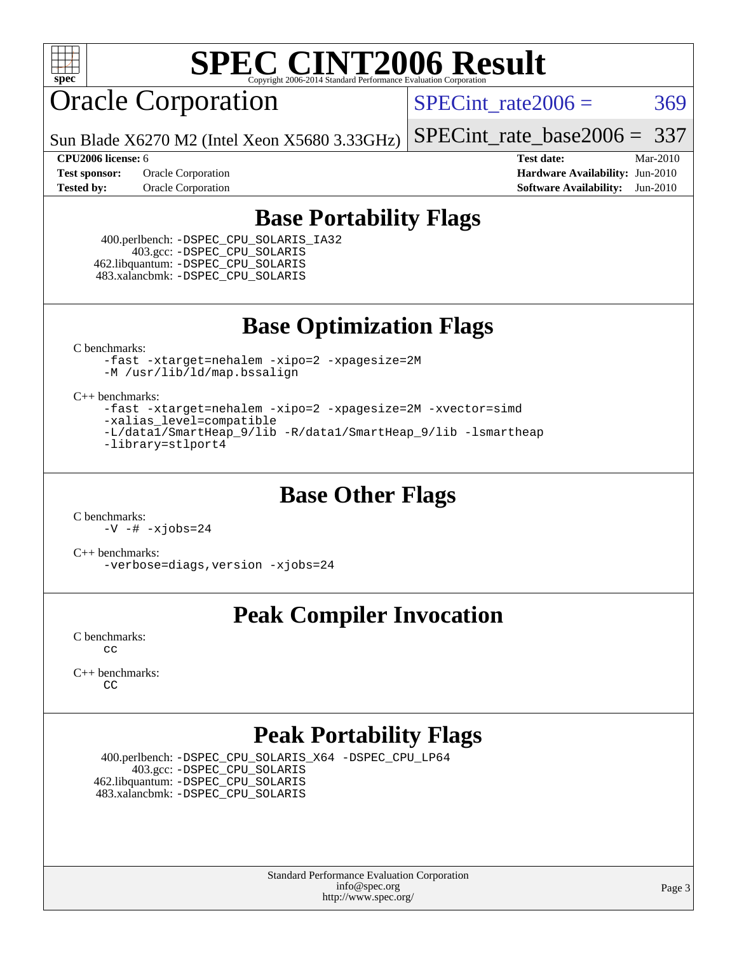

# **[SPEC CINT2006 Result](http://www.spec.org/auto/cpu2006/Docs/result-fields.html#SPECCINT2006Result)**

# Oracle Corporation

SPECint rate $2006 = 369$ 

Sun Blade X6270 M2 (Intel Xeon X5680 3.33GHz)

[SPECint\\_rate\\_base2006 =](http://www.spec.org/auto/cpu2006/Docs/result-fields.html#SPECintratebase2006) 337

**[CPU2006 license:](http://www.spec.org/auto/cpu2006/Docs/result-fields.html#CPU2006license)** 6 **[Test date:](http://www.spec.org/auto/cpu2006/Docs/result-fields.html#Testdate)** Mar-2010 **[Test sponsor:](http://www.spec.org/auto/cpu2006/Docs/result-fields.html#Testsponsor)** Oracle Corporation **[Hardware Availability:](http://www.spec.org/auto/cpu2006/Docs/result-fields.html#HardwareAvailability)** Jun-2010 **[Tested by:](http://www.spec.org/auto/cpu2006/Docs/result-fields.html#Testedby)** Oracle Corporation **[Software Availability:](http://www.spec.org/auto/cpu2006/Docs/result-fields.html#SoftwareAvailability)** Jun-2010

#### **[Base Portability Flags](http://www.spec.org/auto/cpu2006/Docs/result-fields.html#BasePortabilityFlags)**

 400.perlbench: [-DSPEC\\_CPU\\_SOLARIS\\_IA32](http://www.spec.org/cpu2006/results/res2010q3/cpu2006-20100620-11770.flags.html#b400.perlbench_baseCPORTABILITY_DSPEC_CPU_SOLARIS_IA32) 403.gcc: [-DSPEC\\_CPU\\_SOLARIS](http://www.spec.org/cpu2006/results/res2010q3/cpu2006-20100620-11770.flags.html#b403.gcc_baseCPORTABILITY_DSPEC_CPU_SOLARIS) 462.libquantum: [-DSPEC\\_CPU\\_SOLARIS](http://www.spec.org/cpu2006/results/res2010q3/cpu2006-20100620-11770.flags.html#b462.libquantum_baseCPORTABILITY_DSPEC_CPU_SOLARIS) 483.xalancbmk: [-DSPEC\\_CPU\\_SOLARIS](http://www.spec.org/cpu2006/results/res2010q3/cpu2006-20100620-11770.flags.html#b483.xalancbmk_baseCXXPORTABILITY_DSPEC_CPU_SOLARIS)

**[Base Optimization Flags](http://www.spec.org/auto/cpu2006/Docs/result-fields.html#BaseOptimizationFlags)**

[C benchmarks](http://www.spec.org/auto/cpu2006/Docs/result-fields.html#Cbenchmarks):

[-fast](http://www.spec.org/cpu2006/results/res2010q3/cpu2006-20100620-11770.flags.html#user_CCbase_fast_cc) [-xtarget=nehalem](http://www.spec.org/cpu2006/results/res2010q3/cpu2006-20100620-11770.flags.html#user_CCbase_xtarget_74860a595ffaa63cd4d8626087837745) [-xipo=2](http://www.spec.org/cpu2006/results/res2010q3/cpu2006-20100620-11770.flags.html#user_CCbase_xipo_5e3708e8f61bc7c7cade0f8c4dada1db) [-xpagesize=2M](http://www.spec.org/cpu2006/results/res2010q3/cpu2006-20100620-11770.flags.html#user_CCbase_xpagesize_f50b67cca4ef3b24ae5e9aaf0af70b7e) [-M /usr/lib/ld/map.bssalign](http://www.spec.org/cpu2006/results/res2010q3/cpu2006-20100620-11770.flags.html#user_CCbase_Mmapfile)

[C++ benchmarks:](http://www.spec.org/auto/cpu2006/Docs/result-fields.html#CXXbenchmarks)

[-fast](http://www.spec.org/cpu2006/results/res2010q3/cpu2006-20100620-11770.flags.html#user_CXXbase_fast_CC) [-xtarget=nehalem](http://www.spec.org/cpu2006/results/res2010q3/cpu2006-20100620-11770.flags.html#user_CXXbase_xtarget_74860a595ffaa63cd4d8626087837745) [-xipo=2](http://www.spec.org/cpu2006/results/res2010q3/cpu2006-20100620-11770.flags.html#user_CXXbase_xipo_5e3708e8f61bc7c7cade0f8c4dada1db) [-xpagesize=2M](http://www.spec.org/cpu2006/results/res2010q3/cpu2006-20100620-11770.flags.html#user_CXXbase_xpagesize_f50b67cca4ef3b24ae5e9aaf0af70b7e) [-xvector=simd](http://www.spec.org/cpu2006/results/res2010q3/cpu2006-20100620-11770.flags.html#user_CXXbase_xvector_e0bda0e944b1aaab410387048a88518e) [-xalias\\_level=compatible](http://www.spec.org/cpu2006/results/res2010q3/cpu2006-20100620-11770.flags.html#user_CXXbase_xalias_level_CC_96f159d8d9a7543292667cc08592323e) [-L/data1/SmartHeap\\_9/lib -R/data1/SmartHeap\\_9/lib -lsmartheap](http://www.spec.org/cpu2006/results/res2010q3/cpu2006-20100620-11770.flags.html#user_CXXbase_F-Lsmartheap) [-library=stlport4](http://www.spec.org/cpu2006/results/res2010q3/cpu2006-20100620-11770.flags.html#user_CXXbase_F-lstlport4_b8e913805c6afc3a45e676d2e2070a28)

#### **[Base Other Flags](http://www.spec.org/auto/cpu2006/Docs/result-fields.html#BaseOtherFlags)**

[C benchmarks](http://www.spec.org/auto/cpu2006/Docs/result-fields.html#Cbenchmarks): [-V](http://www.spec.org/cpu2006/results/res2010q3/cpu2006-20100620-11770.flags.html#user_CCbase_version_ccf90) [-#](http://www.spec.org/cpu2006/results/res2010q3/cpu2006-20100620-11770.flags.html#user_CCbase_verbose_cc) [-xjobs=24](http://www.spec.org/cpu2006/results/res2010q3/cpu2006-20100620-11770.flags.html#user_CCbase_xjobs_abd6ddc54c9060592217816ca032119c)

[C++ benchmarks:](http://www.spec.org/auto/cpu2006/Docs/result-fields.html#CXXbenchmarks) [-verbose=diags,version](http://www.spec.org/cpu2006/results/res2010q3/cpu2006-20100620-11770.flags.html#user_CXXbase_verbose_CC) [-xjobs=24](http://www.spec.org/cpu2006/results/res2010q3/cpu2006-20100620-11770.flags.html#user_CXXbase_xjobs_abd6ddc54c9060592217816ca032119c)

## **[Peak Compiler Invocation](http://www.spec.org/auto/cpu2006/Docs/result-fields.html#PeakCompilerInvocation)**

[C benchmarks](http://www.spec.org/auto/cpu2006/Docs/result-fields.html#Cbenchmarks): [cc](http://www.spec.org/cpu2006/results/res2010q3/cpu2006-20100620-11770.flags.html#user_CCpeak_sun_cc)

[C++ benchmarks:](http://www.spec.org/auto/cpu2006/Docs/result-fields.html#CXXbenchmarks) [CC](http://www.spec.org/cpu2006/results/res2010q3/cpu2006-20100620-11770.flags.html#user_CXXpeak_sun_CC)

## **[Peak Portability Flags](http://www.spec.org/auto/cpu2006/Docs/result-fields.html#PeakPortabilityFlags)**

 400.perlbench: [-DSPEC\\_CPU\\_SOLARIS\\_X64](http://www.spec.org/cpu2006/results/res2010q3/cpu2006-20100620-11770.flags.html#b400.perlbench_peakCPORTABILITY_DSPEC_CPU_SOLARIS_X64) [-DSPEC\\_CPU\\_LP64](http://www.spec.org/cpu2006/results/res2010q3/cpu2006-20100620-11770.flags.html#b400.perlbench_peakCPORTABILITY_DSPEC_CPU_LP64) 403.gcc: [-DSPEC\\_CPU\\_SOLARIS](http://www.spec.org/cpu2006/results/res2010q3/cpu2006-20100620-11770.flags.html#b403.gcc_peakCPORTABILITY_DSPEC_CPU_SOLARIS) 462.libquantum: [-DSPEC\\_CPU\\_SOLARIS](http://www.spec.org/cpu2006/results/res2010q3/cpu2006-20100620-11770.flags.html#b462.libquantum_peakCPORTABILITY_DSPEC_CPU_SOLARIS) 483.xalancbmk: [-DSPEC\\_CPU\\_SOLARIS](http://www.spec.org/cpu2006/results/res2010q3/cpu2006-20100620-11770.flags.html#b483.xalancbmk_peakCXXPORTABILITY_DSPEC_CPU_SOLARIS)

> Standard Performance Evaluation Corporation [info@spec.org](mailto:info@spec.org) <http://www.spec.org/>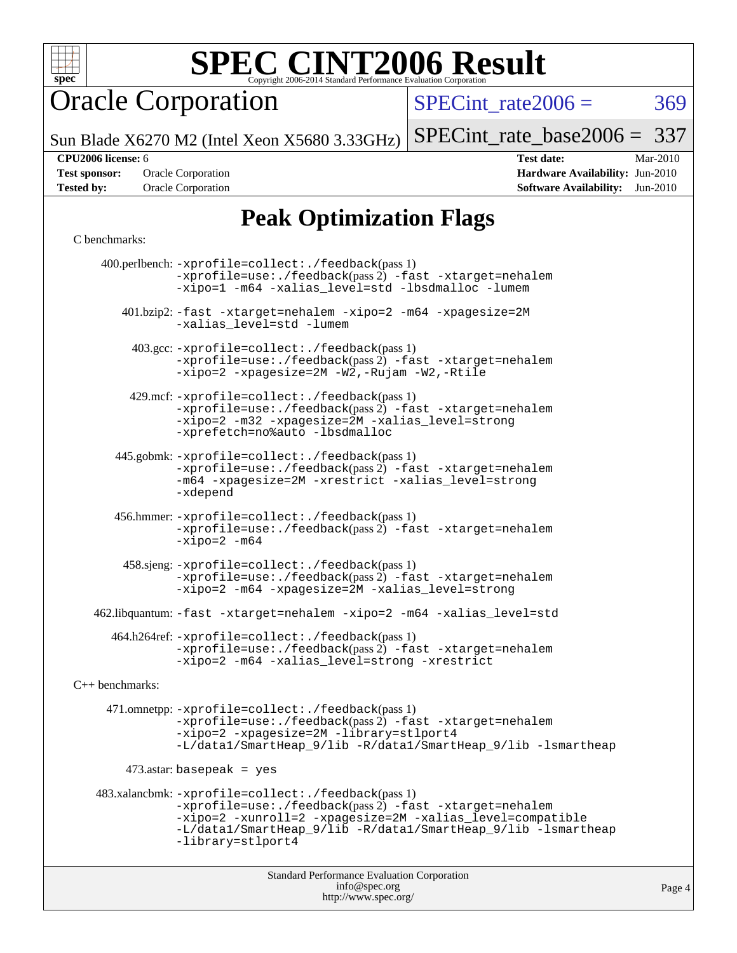

# **[SPEC CINT2006 Result](http://www.spec.org/auto/cpu2006/Docs/result-fields.html#SPECCINT2006Result)**

Oracle Corporation

SPECint rate $2006 = 369$ 

Sun Blade X6270 M2 (Intel Xeon X5680 3.33GHz)

[SPECint\\_rate\\_base2006 =](http://www.spec.org/auto/cpu2006/Docs/result-fields.html#SPECintratebase2006) 337

**[CPU2006 license:](http://www.spec.org/auto/cpu2006/Docs/result-fields.html#CPU2006license)** 6 **[Test date:](http://www.spec.org/auto/cpu2006/Docs/result-fields.html#Testdate)** Mar-2010

**[Test sponsor:](http://www.spec.org/auto/cpu2006/Docs/result-fields.html#Testsponsor)** Oracle Corporation **[Hardware Availability:](http://www.spec.org/auto/cpu2006/Docs/result-fields.html#HardwareAvailability)** Jun-2010 **[Tested by:](http://www.spec.org/auto/cpu2006/Docs/result-fields.html#Testedby)** Oracle Corporation **[Software Availability:](http://www.spec.org/auto/cpu2006/Docs/result-fields.html#SoftwareAvailability)** Jun-2010

## **[Peak Optimization Flags](http://www.spec.org/auto/cpu2006/Docs/result-fields.html#PeakOptimizationFlags)**

#### [C benchmarks](http://www.spec.org/auto/cpu2006/Docs/result-fields.html#Cbenchmarks):

Standard Performance Evaluation Corporation [info@spec.org](mailto:info@spec.org) 400.perlbench: [-xprofile=collect:./feedback](http://www.spec.org/cpu2006/results/res2010q3/cpu2006-20100620-11770.flags.html#user_peakPASS1_CFLAGSPASS1_LDFLAGS400_perlbench_xprofile_collect_eb7600ff49c156e08b79eda146723f7d)(pass 1)  $-$ xprofile=use:./feedback(pass 2)  $-$ fast  $-$ xtarget=nehalem [-xipo=1](http://www.spec.org/cpu2006/results/res2010q3/cpu2006-20100620-11770.flags.html#user_peakOPTIMIZE400_perlbench_xipo_244aeef1b109ad561a752b1a22d45e94) [-m64](http://www.spec.org/cpu2006/results/res2010q3/cpu2006-20100620-11770.flags.html#user_peakOPTIMIZE400_perlbench_F-m64) [-xalias\\_level=std](http://www.spec.org/cpu2006/results/res2010q3/cpu2006-20100620-11770.flags.html#user_peakOPTIMIZE400_perlbench_xalias_level_cc_ed12b6aa9cc1ccf9ee8329664a2d2066) [-lbsdmalloc](http://www.spec.org/cpu2006/results/res2010q3/cpu2006-20100620-11770.flags.html#user_peakEXTRA_LIBS400_perlbench_F-lbsdmalloc) [-lumem](http://www.spec.org/cpu2006/results/res2010q3/cpu2006-20100620-11770.flags.html#user_peakEXTRA_LIBS400_perlbench_F-lumem) 401.bzip2: [-fast](http://www.spec.org/cpu2006/results/res2010q3/cpu2006-20100620-11770.flags.html#user_peakOPTIMIZE401_bzip2_fast_cc) [-xtarget=nehalem](http://www.spec.org/cpu2006/results/res2010q3/cpu2006-20100620-11770.flags.html#user_peakOPTIMIZE401_bzip2_xtarget_74860a595ffaa63cd4d8626087837745) [-xipo=2](http://www.spec.org/cpu2006/results/res2010q3/cpu2006-20100620-11770.flags.html#user_peakOPTIMIZE401_bzip2_xipo_5e3708e8f61bc7c7cade0f8c4dada1db) [-m64](http://www.spec.org/cpu2006/results/res2010q3/cpu2006-20100620-11770.flags.html#user_peakOPTIMIZE401_bzip2_F-m64) [-xpagesize=2M](http://www.spec.org/cpu2006/results/res2010q3/cpu2006-20100620-11770.flags.html#user_peakOPTIMIZE401_bzip2_xpagesize_f50b67cca4ef3b24ae5e9aaf0af70b7e) [-xalias\\_level=std](http://www.spec.org/cpu2006/results/res2010q3/cpu2006-20100620-11770.flags.html#user_peakOPTIMIZE401_bzip2_xalias_level_cc_ed12b6aa9cc1ccf9ee8329664a2d2066) [-lumem](http://www.spec.org/cpu2006/results/res2010q3/cpu2006-20100620-11770.flags.html#user_peakEXTRA_LIBS401_bzip2_F-lumem) 403.gcc: [-xprofile=collect:./feedback](http://www.spec.org/cpu2006/results/res2010q3/cpu2006-20100620-11770.flags.html#user_peakPASS1_CFLAGSPASS1_LDFLAGS403_gcc_xprofile_collect_eb7600ff49c156e08b79eda146723f7d)(pass 1) [-xprofile=use:./feedback](http://www.spec.org/cpu2006/results/res2010q3/cpu2006-20100620-11770.flags.html#user_peakPASS2_CFLAGSPASS2_LDFLAGS403_gcc_xprofile_use_2c7da09021590254e061b7043891e3f2)(pass 2) [-fast](http://www.spec.org/cpu2006/results/res2010q3/cpu2006-20100620-11770.flags.html#user_peakOPTIMIZE403_gcc_fast_cc) [-xtarget=nehalem](http://www.spec.org/cpu2006/results/res2010q3/cpu2006-20100620-11770.flags.html#user_peakOPTIMIZE403_gcc_xtarget_74860a595ffaa63cd4d8626087837745) [-xipo=2](http://www.spec.org/cpu2006/results/res2010q3/cpu2006-20100620-11770.flags.html#user_peakOPTIMIZE403_gcc_xipo_5e3708e8f61bc7c7cade0f8c4dada1db) [-xpagesize=2M](http://www.spec.org/cpu2006/results/res2010q3/cpu2006-20100620-11770.flags.html#user_peakOPTIMIZE403_gcc_xpagesize_f50b67cca4ef3b24ae5e9aaf0af70b7e) [-W2,-Rujam](http://www.spec.org/cpu2006/results/res2010q3/cpu2006-20100620-11770.flags.html#user_peakCOPTIMIZE403_gcc_Rujam_bd0a3be023a85ea10a1f4d32007e195f) [-W2,-Rtile](http://www.spec.org/cpu2006/results/res2010q3/cpu2006-20100620-11770.flags.html#user_peakCOPTIMIZE403_gcc_Rtile_b376e3968d2912a65330994d7bfe5528) 429.mcf: [-xprofile=collect:./feedback](http://www.spec.org/cpu2006/results/res2010q3/cpu2006-20100620-11770.flags.html#user_peakPASS1_CFLAGSPASS1_LDFLAGS429_mcf_xprofile_collect_eb7600ff49c156e08b79eda146723f7d)(pass 1) [-xprofile=use:./feedback](http://www.spec.org/cpu2006/results/res2010q3/cpu2006-20100620-11770.flags.html#user_peakPASS2_CFLAGSPASS2_LDFLAGS429_mcf_xprofile_use_2c7da09021590254e061b7043891e3f2)(pass 2) [-fast](http://www.spec.org/cpu2006/results/res2010q3/cpu2006-20100620-11770.flags.html#user_peakOPTIMIZE429_mcf_fast_cc) [-xtarget=nehalem](http://www.spec.org/cpu2006/results/res2010q3/cpu2006-20100620-11770.flags.html#user_peakOPTIMIZE429_mcf_xtarget_74860a595ffaa63cd4d8626087837745) [-xipo=2](http://www.spec.org/cpu2006/results/res2010q3/cpu2006-20100620-11770.flags.html#user_peakOPTIMIZE429_mcf_xipo_5e3708e8f61bc7c7cade0f8c4dada1db) [-m32](http://www.spec.org/cpu2006/results/res2010q3/cpu2006-20100620-11770.flags.html#user_peakOPTIMIZE429_mcf_F-m32) [-xpagesize=2M](http://www.spec.org/cpu2006/results/res2010q3/cpu2006-20100620-11770.flags.html#user_peakOPTIMIZE429_mcf_xpagesize_f50b67cca4ef3b24ae5e9aaf0af70b7e) [-xalias\\_level=strong](http://www.spec.org/cpu2006/results/res2010q3/cpu2006-20100620-11770.flags.html#user_peakOPTIMIZE429_mcf_xalias_level_cc_55f5e21d5175f1806f53f2825faa86c9) [-xprefetch=no%auto](http://www.spec.org/cpu2006/results/res2010q3/cpu2006-20100620-11770.flags.html#user_peakOPTIMIZE429_mcf_xprefetch_aadf369b144f677b141e4051b7b2a0c9) [-lbsdmalloc](http://www.spec.org/cpu2006/results/res2010q3/cpu2006-20100620-11770.flags.html#user_peakEXTRA_LIBS429_mcf_F-lbsdmalloc) 445.gobmk: [-xprofile=collect:./feedback](http://www.spec.org/cpu2006/results/res2010q3/cpu2006-20100620-11770.flags.html#user_peakPASS1_CFLAGSPASS1_LDFLAGS445_gobmk_xprofile_collect_eb7600ff49c156e08b79eda146723f7d)(pass 1) [-xprofile=use:./feedback](http://www.spec.org/cpu2006/results/res2010q3/cpu2006-20100620-11770.flags.html#user_peakPASS2_CFLAGSPASS2_LDFLAGS445_gobmk_xprofile_use_2c7da09021590254e061b7043891e3f2)(pass 2) [-fast](http://www.spec.org/cpu2006/results/res2010q3/cpu2006-20100620-11770.flags.html#user_peakOPTIMIZE445_gobmk_fast_cc) [-xtarget=nehalem](http://www.spec.org/cpu2006/results/res2010q3/cpu2006-20100620-11770.flags.html#user_peakOPTIMIZE445_gobmk_xtarget_74860a595ffaa63cd4d8626087837745) [-m64](http://www.spec.org/cpu2006/results/res2010q3/cpu2006-20100620-11770.flags.html#user_peakOPTIMIZE445_gobmk_F-m64) [-xpagesize=2M](http://www.spec.org/cpu2006/results/res2010q3/cpu2006-20100620-11770.flags.html#user_peakOPTIMIZE445_gobmk_xpagesize_f50b67cca4ef3b24ae5e9aaf0af70b7e) [-xrestrict](http://www.spec.org/cpu2006/results/res2010q3/cpu2006-20100620-11770.flags.html#user_peakOPTIMIZE445_gobmk_F-xrestrict) [-xalias\\_level=strong](http://www.spec.org/cpu2006/results/res2010q3/cpu2006-20100620-11770.flags.html#user_peakOPTIMIZE445_gobmk_xalias_level_cc_55f5e21d5175f1806f53f2825faa86c9) [-xdepend](http://www.spec.org/cpu2006/results/res2010q3/cpu2006-20100620-11770.flags.html#user_peakOPTIMIZE445_gobmk_F-xdepend) 456.hmmer: [-xprofile=collect:./feedback](http://www.spec.org/cpu2006/results/res2010q3/cpu2006-20100620-11770.flags.html#user_peakPASS1_CFLAGSPASS1_LDFLAGS456_hmmer_xprofile_collect_eb7600ff49c156e08b79eda146723f7d)(pass 1)  $-$ xprofile=use:./feedback(pass 2)  $-$ fast  $-$ xtarget=nehalem  $-xipo=2 -m64$  $-xipo=2 -m64$  $-xipo=2 -m64$  458.sjeng: [-xprofile=collect:./feedback](http://www.spec.org/cpu2006/results/res2010q3/cpu2006-20100620-11770.flags.html#user_peakPASS1_CFLAGSPASS1_LDFLAGS458_sjeng_xprofile_collect_eb7600ff49c156e08b79eda146723f7d)(pass 1) [-xprofile=use:./feedback](http://www.spec.org/cpu2006/results/res2010q3/cpu2006-20100620-11770.flags.html#user_peakPASS2_CFLAGSPASS2_LDFLAGS458_sjeng_xprofile_use_2c7da09021590254e061b7043891e3f2)(pass 2) [-fast](http://www.spec.org/cpu2006/results/res2010q3/cpu2006-20100620-11770.flags.html#user_peakOPTIMIZE458_sjeng_fast_cc) [-xtarget=nehalem](http://www.spec.org/cpu2006/results/res2010q3/cpu2006-20100620-11770.flags.html#user_peakOPTIMIZE458_sjeng_xtarget_74860a595ffaa63cd4d8626087837745) [-xipo=2](http://www.spec.org/cpu2006/results/res2010q3/cpu2006-20100620-11770.flags.html#user_peakOPTIMIZE458_sjeng_xipo_5e3708e8f61bc7c7cade0f8c4dada1db) [-m64](http://www.spec.org/cpu2006/results/res2010q3/cpu2006-20100620-11770.flags.html#user_peakOPTIMIZE458_sjeng_F-m64) [-xpagesize=2M](http://www.spec.org/cpu2006/results/res2010q3/cpu2006-20100620-11770.flags.html#user_peakOPTIMIZE458_sjeng_xpagesize_f50b67cca4ef3b24ae5e9aaf0af70b7e) [-xalias\\_level=strong](http://www.spec.org/cpu2006/results/res2010q3/cpu2006-20100620-11770.flags.html#user_peakOPTIMIZE458_sjeng_xalias_level_cc_55f5e21d5175f1806f53f2825faa86c9) 462.libquantum: [-fast](http://www.spec.org/cpu2006/results/res2010q3/cpu2006-20100620-11770.flags.html#user_peakOPTIMIZE462_libquantum_fast_cc) [-xtarget=nehalem](http://www.spec.org/cpu2006/results/res2010q3/cpu2006-20100620-11770.flags.html#user_peakOPTIMIZE462_libquantum_xtarget_74860a595ffaa63cd4d8626087837745) [-xipo=2](http://www.spec.org/cpu2006/results/res2010q3/cpu2006-20100620-11770.flags.html#user_peakOPTIMIZE462_libquantum_xipo_5e3708e8f61bc7c7cade0f8c4dada1db) [-m64](http://www.spec.org/cpu2006/results/res2010q3/cpu2006-20100620-11770.flags.html#user_peakOPTIMIZE462_libquantum_F-m64) [-xalias\\_level=std](http://www.spec.org/cpu2006/results/res2010q3/cpu2006-20100620-11770.flags.html#user_peakEXTRA_OPTIMIZE462_libquantum_xalias_level_cc_ed12b6aa9cc1ccf9ee8329664a2d2066) 464.h264ref: [-xprofile=collect:./feedback](http://www.spec.org/cpu2006/results/res2010q3/cpu2006-20100620-11770.flags.html#user_peakPASS1_CFLAGSPASS1_LDFLAGS464_h264ref_xprofile_collect_eb7600ff49c156e08b79eda146723f7d)(pass 1) [-xprofile=use:./feedback](http://www.spec.org/cpu2006/results/res2010q3/cpu2006-20100620-11770.flags.html#user_peakPASS2_CFLAGSPASS2_LDFLAGS464_h264ref_xprofile_use_2c7da09021590254e061b7043891e3f2)(pass 2) [-fast](http://www.spec.org/cpu2006/results/res2010q3/cpu2006-20100620-11770.flags.html#user_peakOPTIMIZE464_h264ref_fast_cc) [-xtarget=nehalem](http://www.spec.org/cpu2006/results/res2010q3/cpu2006-20100620-11770.flags.html#user_peakOPTIMIZE464_h264ref_xtarget_74860a595ffaa63cd4d8626087837745) [-xipo=2](http://www.spec.org/cpu2006/results/res2010q3/cpu2006-20100620-11770.flags.html#user_peakOPTIMIZE464_h264ref_xipo_5e3708e8f61bc7c7cade0f8c4dada1db) [-m64](http://www.spec.org/cpu2006/results/res2010q3/cpu2006-20100620-11770.flags.html#user_peakOPTIMIZE464_h264ref_F-m64) [-xalias\\_level=strong](http://www.spec.org/cpu2006/results/res2010q3/cpu2006-20100620-11770.flags.html#user_peakOPTIMIZE464_h264ref_xalias_level_cc_55f5e21d5175f1806f53f2825faa86c9) [-xrestrict](http://www.spec.org/cpu2006/results/res2010q3/cpu2006-20100620-11770.flags.html#user_peakEXTRA_OPTIMIZE464_h264ref_F-xrestrict) [C++ benchmarks:](http://www.spec.org/auto/cpu2006/Docs/result-fields.html#CXXbenchmarks) 471.omnetpp: [-xprofile=collect:./feedback](http://www.spec.org/cpu2006/results/res2010q3/cpu2006-20100620-11770.flags.html#user_peakPASS1_CXXFLAGSPASS1_LDFLAGS471_omnetpp_xprofile_collect_eb7600ff49c156e08b79eda146723f7d)(pass 1) [-xprofile=use:./feedback](http://www.spec.org/cpu2006/results/res2010q3/cpu2006-20100620-11770.flags.html#user_peakPASS2_CXXFLAGSPASS2_LDFLAGS471_omnetpp_xprofile_use_2c7da09021590254e061b7043891e3f2)(pass 2) [-fast](http://www.spec.org/cpu2006/results/res2010q3/cpu2006-20100620-11770.flags.html#user_peakOPTIMIZE471_omnetpp_fast_CC) [-xtarget=nehalem](http://www.spec.org/cpu2006/results/res2010q3/cpu2006-20100620-11770.flags.html#user_peakOPTIMIZE471_omnetpp_xtarget_74860a595ffaa63cd4d8626087837745) [-xipo=2](http://www.spec.org/cpu2006/results/res2010q3/cpu2006-20100620-11770.flags.html#user_peakOPTIMIZE471_omnetpp_xipo_5e3708e8f61bc7c7cade0f8c4dada1db) [-xpagesize=2M](http://www.spec.org/cpu2006/results/res2010q3/cpu2006-20100620-11770.flags.html#user_peakOPTIMIZE471_omnetpp_xpagesize_f50b67cca4ef3b24ae5e9aaf0af70b7e) [-library=stlport4](http://www.spec.org/cpu2006/results/res2010q3/cpu2006-20100620-11770.flags.html#user_peakEXTRA_CXXFLAGSEXTRA_CXXLIBS471_omnetpp_F-lstlport4_b8e913805c6afc3a45e676d2e2070a28) [-L/data1/SmartHeap\\_9/lib -R/data1/SmartHeap\\_9/lib -lsmartheap](http://www.spec.org/cpu2006/results/res2010q3/cpu2006-20100620-11770.flags.html#user_peakEXTRA_OPTIMIZE471_omnetpp_F-Lsmartheap)  $473$ .astar: basepeak = yes 483.xalancbmk: [-xprofile=collect:./feedback](http://www.spec.org/cpu2006/results/res2010q3/cpu2006-20100620-11770.flags.html#user_peakPASS1_CXXFLAGSPASS1_LDFLAGS483_xalancbmk_xprofile_collect_eb7600ff49c156e08b79eda146723f7d)(pass 1) [-xprofile=use:./feedback](http://www.spec.org/cpu2006/results/res2010q3/cpu2006-20100620-11770.flags.html#user_peakPASS2_CXXFLAGSPASS2_LDFLAGS483_xalancbmk_xprofile_use_2c7da09021590254e061b7043891e3f2)(pass 2) [-fast](http://www.spec.org/cpu2006/results/res2010q3/cpu2006-20100620-11770.flags.html#user_peakOPTIMIZE483_xalancbmk_fast_CC) [-xtarget=nehalem](http://www.spec.org/cpu2006/results/res2010q3/cpu2006-20100620-11770.flags.html#user_peakOPTIMIZE483_xalancbmk_xtarget_74860a595ffaa63cd4d8626087837745) [-xipo=2](http://www.spec.org/cpu2006/results/res2010q3/cpu2006-20100620-11770.flags.html#user_peakOPTIMIZE483_xalancbmk_xipo_5e3708e8f61bc7c7cade0f8c4dada1db) [-xunroll=2](http://www.spec.org/cpu2006/results/res2010q3/cpu2006-20100620-11770.flags.html#user_peakOPTIMIZE483_xalancbmk_xunroll_8ac303d7ab8ce392def9a884afb24df7) [-xpagesize=2M](http://www.spec.org/cpu2006/results/res2010q3/cpu2006-20100620-11770.flags.html#user_peakOPTIMIZE483_xalancbmk_xpagesize_f50b67cca4ef3b24ae5e9aaf0af70b7e) [-xalias\\_level=compatible](http://www.spec.org/cpu2006/results/res2010q3/cpu2006-20100620-11770.flags.html#user_peakOPTIMIZE483_xalancbmk_xalias_level_CC_96f159d8d9a7543292667cc08592323e) [-L/data1/SmartHeap\\_9/lib -R/data1/SmartHeap\\_9/lib -lsmartheap](http://www.spec.org/cpu2006/results/res2010q3/cpu2006-20100620-11770.flags.html#user_peakOPTIMIZE483_xalancbmk_F-Lsmartheap) [-library=stlport4](http://www.spec.org/cpu2006/results/res2010q3/cpu2006-20100620-11770.flags.html#user_peakEXTRA_CXXFLAGSEXTRA_CXXLIBS483_xalancbmk_F-lstlport4_b8e913805c6afc3a45e676d2e2070a28)

<http://www.spec.org/>